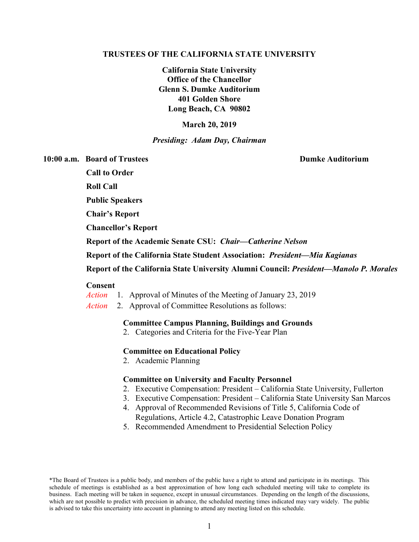#### **TRUSTEES OF THE CALIFORNIA STATE UNIVERSITY**

**California State University Office of the Chancellor Glenn S. Dumke Auditorium 401 Golden Shore Long Beach, CA 90802**

## **March 20, 2019**

## *Presiding: Adam Day, Chairman*

**10:00 a.m. Board of Trustees Dumke Auditorium**

 **Call to Order**

 **Roll Call**

 **Public Speakers**

 **Chair's Report**

**Chancellor's Report**

 **Report of the Academic Senate CSU:** *Chair—Catherine Nelson*

 **Report of the California State Student Association:** *President—Mia Kagianas*

 **Report of the California State University Alumni Council:** *President—Manolo P. Morales*

## **Consent**

- *Action* 1. Approval of Minutes of the Meeting of January 23, 2019
- *Action* 2. Approval of Committee Resolutions as follows:

#### **Committee Campus Planning, Buildings and Grounds**

2. Categories and Criteria for the Five-Year Plan

## **Committee on Educational Policy**

2. Academic Planning

#### **Committee on University and Faculty Personnel**

- 2. Executive Compensation: President California State University, Fullerton
- 3. Executive Compensation: President California State University San Marcos
- 4. Approval of Recommended Revisions of Title 5, California Code of Regulations, Article 4.2, Catastrophic Leave Donation Program
- 5. Recommended Amendment to Presidential Selection Policy

<sup>\*</sup>The Board of Trustees is a public body, and members of the public have a right to attend and participate in its meetings. This schedule of meetings is established as a best approximation of how long each scheduled meeting will take to complete its business. Each meeting will be taken in sequence, except in unusual circumstances. Depending on the length of the discussions, which are not possible to predict with precision in advance, the scheduled meeting times indicated may vary widely. The public is advised to take this uncertainty into account in planning to attend any meeting listed on this schedule.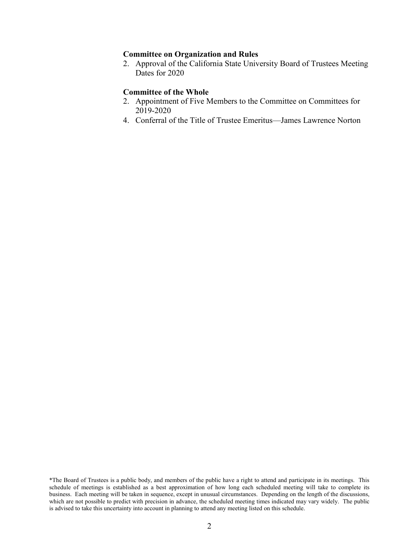### **Committee on Organization and Rules**

2. Approval of the California State University Board of Trustees Meeting Dates for 2020

## **Committee of the Whole**

- 2. Appointment of Five Members to the Committee on Committees for 2019-2020
- 4. Conferral of the Title of Trustee Emeritus—James Lawrence Norton

<sup>\*</sup>The Board of Trustees is a public body, and members of the public have a right to attend and participate in its meetings. This schedule of meetings is established as a best approximation of how long each scheduled meeting will take to complete its business. Each meeting will be taken in sequence, except in unusual circumstances. Depending on the length of the discussions, which are not possible to predict with precision in advance, the scheduled meeting times indicated may vary widely. The public is advised to take this uncertainty into account in planning to attend any meeting listed on this schedule.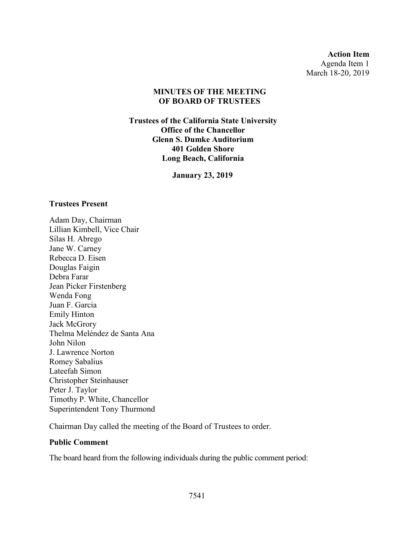**Action Item** Agenda Item 1 March 18-20, 2019

## **MINUTES OF THE MEETING OF BOARD OF TRUSTEES**

**Trustees of the California State University Office of the Chancellor Glenn S. Dumke Auditorium 401 Golden Shore Long Beach, California**

**January 23, 2019**

## **Trustees Present**

Adam Day, Chairman Lillian Kimbell, Vice Chair Silas H. Abrego Jane W. Carney Rebecca D. Eisen Douglas Faigin Debra Farar Jean Picker Firstenberg Wenda Fong Juan F. Garcia Emily Hinton Jack McGrory Thelma Meléndez de Santa Ana John Nilon J. Lawrence Norton Romey Sabalius Lateefah Simon Christopher Steinhauser Peter J. Taylor Timothy P. White, Chancellor Superintendent Tony Thurmond

Chairman Day called the meeting of the Board of Trustees to order.

# **Public Comment**

The board heard from the following individuals during the public comment period: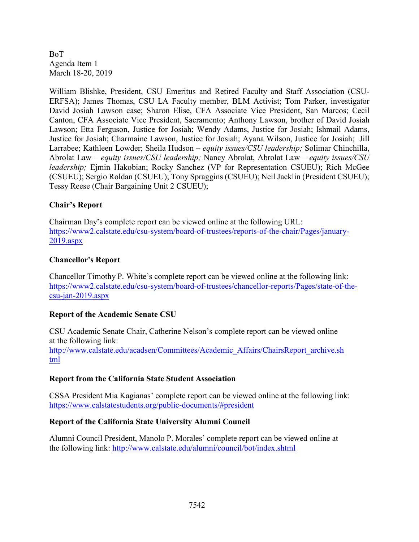William Blishke, President, CSU Emeritus and Retired Faculty and Staff Association (CSU-ERFSA); James Thomas, CSU LA Faculty member, BLM Activist; Tom Parker, investigator David Josiah Lawson case; Sharon Elise, CFA Associate Vice President, San Marcos; Cecil Canton, CFA Associate Vice President, Sacramento; Anthony Lawson, brother of David Josiah Lawson; Etta Ferguson, Justice for Josiah; Wendy Adams, Justice for Josiah; Ishmail Adams, Justice for Josiah; Charmaine Lawson, Justice for Josiah; Ayana Wilson, Justice for Josiah; Jill Larrabee; Kathleen Lowder; Sheila Hudson – *equity issues/CSU leadership;* Solimar Chinchilla, Abrolat Law – *equity issues/CSU leadership;* Nancy Abrolat, Abrolat Law – *equity issues/CSU leadership;* Ejmin Hakobian; Rocky Sanchez (VP for Representation CSUEU); Rich McGee (CSUEU); Sergio Roldan (CSUEU); Tony Spraggins (CSUEU); Neil Jacklin (President CSUEU); Tessy Reese (Chair Bargaining Unit 2 CSUEU);

# **Chair's Report**

Chairman Day's complete report can be viewed online at the following URL: [https://www2.calstate.edu/csu-system/board-of-trustees/reports-of-the-chair/Pages/january-](https://www2.calstate.edu/csu-system/board-of-trustees/reports-of-the-chair/Pages/january-2019.aspx)[2019.aspx](https://www2.calstate.edu/csu-system/board-of-trustees/reports-of-the-chair/Pages/january-2019.aspx)

# **Chancellor's Report**

Chancellor Timothy P. White's complete report can be viewed online at the following link: [https://www2.calstate.edu/csu-system/board-of-trustees/chancellor-reports/Pages/state-of-the](https://www2.calstate.edu/csu-system/board-of-trustees/chancellor-reports/Pages/state-of-the-csu-jan-2019.aspx)[csu-jan-2019.aspx](https://www2.calstate.edu/csu-system/board-of-trustees/chancellor-reports/Pages/state-of-the-csu-jan-2019.aspx)

# **Report of the Academic Senate CSU**

CSU Academic Senate Chair, Catherine Nelson's complete report can be viewed online at the following link: [http://www.calstate.edu/acadsen/Committees/Academic\\_Affairs/ChairsReport\\_archive.sh](http://www.calstate.edu/acadsen/Committees/Academic_Affairs/ChairsReport_archive.shtml) [tml](http://www.calstate.edu/acadsen/Committees/Academic_Affairs/ChairsReport_archive.shtml)

# **Report from the California State Student Association**

CSSA President Mia Kagianas' complete report can be viewed online at the following link: <https://www.calstatestudents.org/public-documents/#president>

# **Report of the California State University Alumni Council**

Alumni Council President, Manolo P. Morales' complete report can be viewed online at the following link: <http://www.calstate.edu/alumni/council/bot/index.shtml>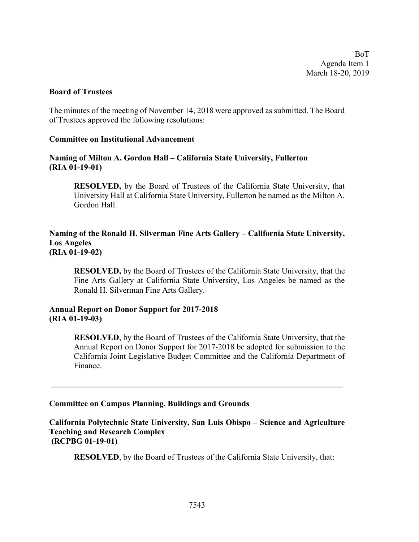## **Board of Trustees**

The minutes of the meeting of November 14, 2018 were approved as submitted. The Board of Trustees approved the following resolutions:

## **Committee on Institutional Advancement**

# **Naming of Milton A. Gordon Hall – California State University, Fullerton (RIA 01-19-01)**

**RESOLVED,** by the Board of Trustees of the California State University, that University Hall at California State University, Fullerton be named as the Milton A. Gordon Hall.

## **Naming of the Ronald H. Silverman Fine Arts Gallery – California State University, Los Angeles (RIA 01-19-02)**

**RESOLVED,** by the Board of Trustees of the California State University, that the Fine Arts Gallery at California State University, Los Angeles be named as the Ronald H. Silverman Fine Arts Gallery.

## **Annual Report on Donor Support for 2017-2018 (RIA 01-19-03)**

**RESOLVED**, by the Board of Trustees of the California State University, that the Annual Report on Donor Support for 2017-2018 be adopted for submission to the California Joint Legislative Budget Committee and the California Department of Finance.

## **Committee on Campus Planning, Buildings and Grounds**

**California Polytechnic State University, San Luis Obispo – Science and Agriculture Teaching and Research Complex (RCPBG 01-19-01)**

**RESOLVED**, by the Board of Trustees of the California State University, that: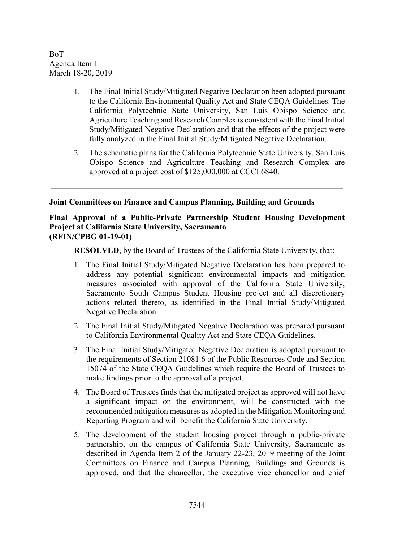- 1. The Final Initial Study/Mitigated Negative Declaration been adopted pursuant to the California Environmental Quality Act and State CEQA Guidelines. The California Polytechnic State University, San Luis Obispo Science and Agriculture Teaching and Research Complex is consistent with the Final Initial Study/Mitigated Negative Declaration and that the effects of the project were fully analyzed in the Final Initial Study/Mitigated Negative Declaration.
- 2. The schematic plans for the California Polytechnic State University, San Luis Obispo Science and Agriculture Teaching and Research Complex are approved at a project cost of \$125,000,000 at CCCI 6840.

## **Joint Committees on Finance and Campus Planning, Building and Grounds**

# **Final Approval of a Public-Private Partnership Student Housing Development Project at California State University, Sacramento (RFIN/CPBG 01-19-01)**

**RESOLVED**, by the Board of Trustees of the California State University, that:

- 1. The Final Initial Study/Mitigated Negative Declaration has been prepared to address any potential significant environmental impacts and mitigation measures associated with approval of the California State University, Sacramento South Campus Student Housing project and all discretionary actions related thereto, as identified in the Final Initial Study/Mitigated Negative Declaration.
- 2. The Final Initial Study/Mitigated Negative Declaration was prepared pursuant to California Environmental Quality Act and State CEQA Guidelines.
- 3. The Final Initial Study/Mitigated Negative Declaration is adopted pursuant to the requirements of Section 21081.6 of the Public Resources Code and Section 15074 of the State CEQA Guidelines which require the Board of Trustees to make findings prior to the approval of a project.
- 4. The Board of Trustees finds that the mitigated project as approved will not have a significant impact on the environment, will be constructed with the recommended mitigation measures as adopted in the Mitigation Monitoring and Reporting Program and will benefit the California State University.
- 5. The development of the student housing project through a public-private partnership, on the campus of California State University, Sacramento as described in Agenda Item 2 of the January 22-23, 2019 meeting of the Joint Committees on Finance and Campus Planning, Buildings and Grounds is approved, and that the chancellor, the executive vice chancellor and chief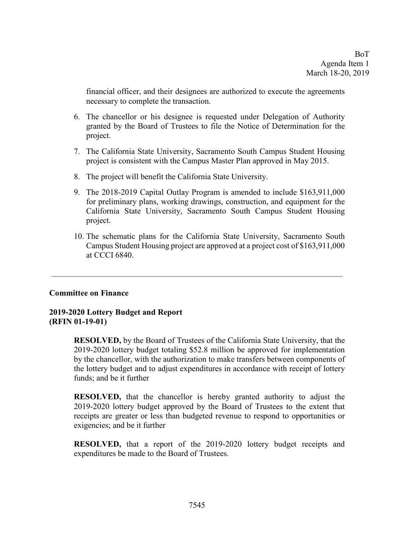financial officer, and their designees are authorized to execute the agreements necessary to complete the transaction.

- 6. The chancellor or his designee is requested under Delegation of Authority granted by the Board of Trustees to file the Notice of Determination for the project.
- 7. The California State University, Sacramento South Campus Student Housing project is consistent with the Campus Master Plan approved in May 2015.
- 8. The project will benefit the California State University.
- 9. The 2018-2019 Capital Outlay Program is amended to include \$163,911,000 for preliminary plans, working drawings, construction, and equipment for the California State University, Sacramento South Campus Student Housing project.
- 10. The schematic plans for the California State University, Sacramento South Campus Student Housing project are approved at a project cost of \$163,911,000 at CCCI 6840.

# **Committee on Finance**

# **2019-2020 Lottery Budget and Report (RFIN 01-19-01)**

**RESOLVED,** by the Board of Trustees of the California State University, that the 2019-2020 lottery budget totaling \$52.8 million be approved for implementation by the chancellor, with the authorization to make transfers between components of the lottery budget and to adjust expenditures in accordance with receipt of lottery funds; and be it further

**RESOLVED,** that the chancellor is hereby granted authority to adjust the 2019-2020 lottery budget approved by the Board of Trustees to the extent that receipts are greater or less than budgeted revenue to respond to opportunities or exigencies; and be it further

**RESOLVED,** that a report of the 2019-2020 lottery budget receipts and expenditures be made to the Board of Trustees.